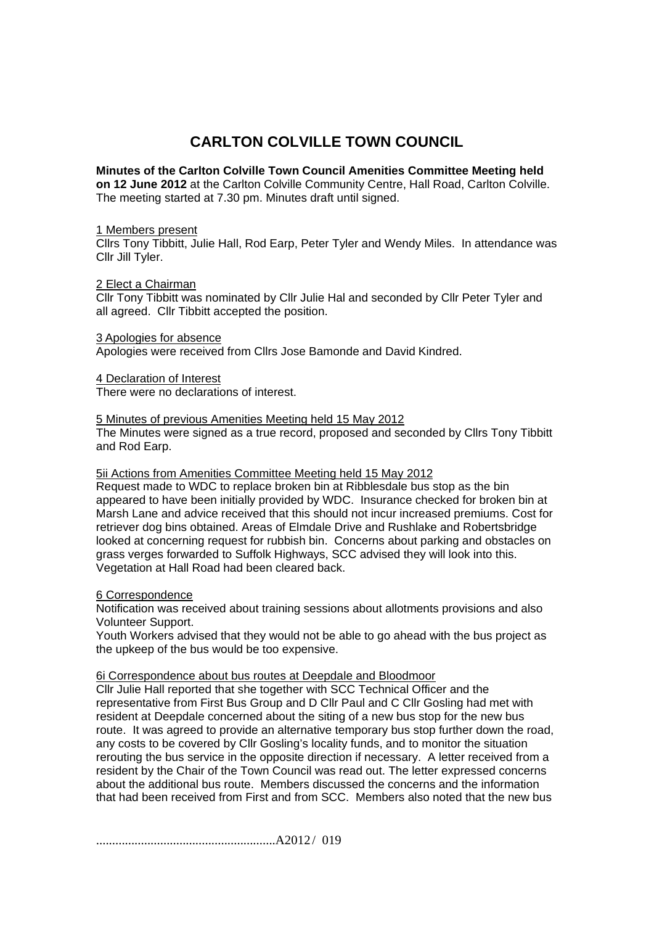# **CARLTON COLVILLE TOWN COUNCIL**

# **Minutes of the Carlton Colville Town Council Amenities Committee Meeting held**

**on 12 June 2012** at the Carlton Colville Community Centre, Hall Road, Carlton Colville. The meeting started at 7.30 pm. Minutes draft until signed.

### 1 Members present

Cllrs Tony Tibbitt, Julie Hall, Rod Earp, Peter Tyler and Wendy Miles. In attendance was Cllr Jill Tyler.

#### 2 Elect a Chairman

Cllr Tony Tibbitt was nominated by Cllr Julie Hal and seconded by Cllr Peter Tyler and all agreed. Cllr Tibbitt accepted the position.

#### 3 Apologies for absence

Apologies were received from Cllrs Jose Bamonde and David Kindred.

#### 4 Declaration of Interest

There were no declarations of interest.

5 Minutes of previous Amenities Meeting held 15 May 2012 The Minutes were signed as a true record, proposed and seconded by Cllrs Tony Tibbitt and Rod Earp.

## 5ii Actions from Amenities Committee Meeting held 15 May 2012

Request made to WDC to replace broken bin at Ribblesdale bus stop as the bin appeared to have been initially provided by WDC. Insurance checked for broken bin at Marsh Lane and advice received that this should not incur increased premiums. Cost for retriever dog bins obtained. Areas of Elmdale Drive and Rushlake and Robertsbridge looked at concerning request for rubbish bin. Concerns about parking and obstacles on grass verges forwarded to Suffolk Highways, SCC advised they will look into this. Vegetation at Hall Road had been cleared back.

## 6 Correspondence

Notification was received about training sessions about allotments provisions and also Volunteer Support.

Youth Workers advised that they would not be able to go ahead with the bus project as the upkeep of the bus would be too expensive.

## 6i Correspondence about bus routes at Deepdale and Bloodmoor

Cllr Julie Hall reported that she together with SCC Technical Officer and the representative from First Bus Group and D Cllr Paul and C Cllr Gosling had met with resident at Deepdale concerned about the siting of a new bus stop for the new bus route. It was agreed to provide an alternative temporary bus stop further down the road, any costs to be covered by Cllr Gosling's locality funds, and to monitor the situation rerouting the bus service in the opposite direction if necessary. A letter received from a resident by the Chair of the Town Council was read out. The letter expressed concerns about the additional bus route. Members discussed the concerns and the information that had been received from First and from SCC. Members also noted that the new bus

........................................................A2012 / 019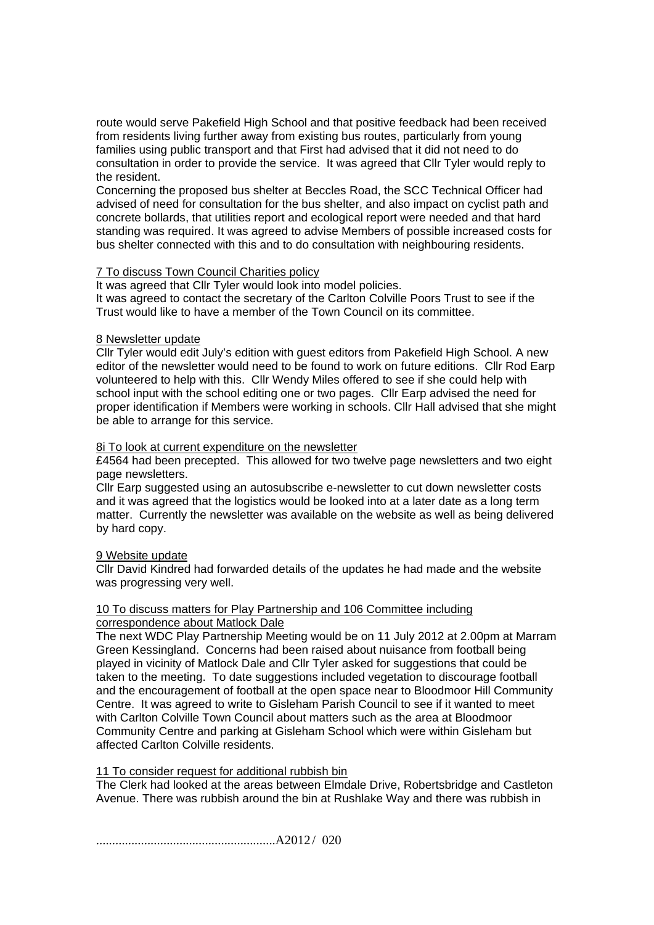route would serve Pakefield High School and that positive feedback had been received from residents living further away from existing bus routes, particularly from young families using public transport and that First had advised that it did not need to do consultation in order to provide the service. It was agreed that Cllr Tyler would reply to the resident.

Concerning the proposed bus shelter at Beccles Road, the SCC Technical Officer had advised of need for consultation for the bus shelter, and also impact on cyclist path and concrete bollards, that utilities report and ecological report were needed and that hard standing was required. It was agreed to advise Members of possible increased costs for bus shelter connected with this and to do consultation with neighbouring residents.

# **7 To discuss Town Council Charities policy**

It was agreed that Cllr Tyler would look into model policies. It was agreed to contact the secretary of the Carlton Colville Poors Trust to see if the Trust would like to have a member of the Town Council on its committee.

# 8 Newsletter update

Cllr Tyler would edit July's edition with guest editors from Pakefield High School. A new editor of the newsletter would need to be found to work on future editions. Cllr Rod Earp volunteered to help with this. Cllr Wendy Miles offered to see if she could help with school input with the school editing one or two pages. Cllr Earp advised the need for proper identification if Members were working in schools. Cllr Hall advised that she might be able to arrange for this service.

# 8i To look at current expenditure on the newsletter

£4564 had been precepted. This allowed for two twelve page newsletters and two eight page newsletters.

Cllr Earp suggested using an autosubscribe e-newsletter to cut down newsletter costs and it was agreed that the logistics would be looked into at a later date as a long term matter. Currently the newsletter was available on the website as well as being delivered by hard copy.

## 9 Website update

Cllr David Kindred had forwarded details of the updates he had made and the website was progressing very well.

#### 10 To discuss matters for Play Partnership and 106 Committee including correspondence about Matlock Dale

The next WDC Play Partnership Meeting would be on 11 July 2012 at 2.00pm at Marram Green Kessingland. Concerns had been raised about nuisance from football being played in vicinity of Matlock Dale and Cllr Tyler asked for suggestions that could be taken to the meeting. To date suggestions included vegetation to discourage football and the encouragement of football at the open space near to Bloodmoor Hill Community Centre. It was agreed to write to Gisleham Parish Council to see if it wanted to meet with Carlton Colville Town Council about matters such as the area at Bloodmoor Community Centre and parking at Gisleham School which were within Gisleham but affected Carlton Colville residents.

# 11 To consider request for additional rubbish bin

The Clerk had looked at the areas between Elmdale Drive, Robertsbridge and Castleton Avenue. There was rubbish around the bin at Rushlake Way and there was rubbish in

........................................................A2012 / 020